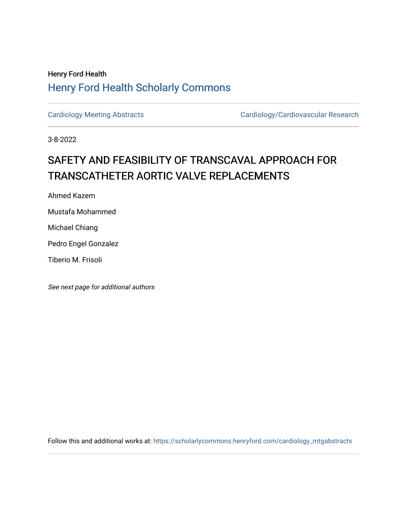## Henry Ford Health [Henry Ford Health Scholarly Commons](https://scholarlycommons.henryford.com/)

[Cardiology Meeting Abstracts](https://scholarlycommons.henryford.com/cardiology_mtgabstracts) Cardiology/Cardiovascular Research

3-8-2022

## SAFETY AND FEASIBILITY OF TRANSCAVAL APPROACH FOR TRANSCATHETER AORTIC VALVE REPLACEMENTS

Ahmed Kazem

Mustafa Mohammed

Michael Chiang

Pedro Engel Gonzalez

Tiberio M. Frisoli

See next page for additional authors

Follow this and additional works at: [https://scholarlycommons.henryford.com/cardiology\\_mtgabstracts](https://scholarlycommons.henryford.com/cardiology_mtgabstracts?utm_source=scholarlycommons.henryford.com%2Fcardiology_mtgabstracts%2F335&utm_medium=PDF&utm_campaign=PDFCoverPages)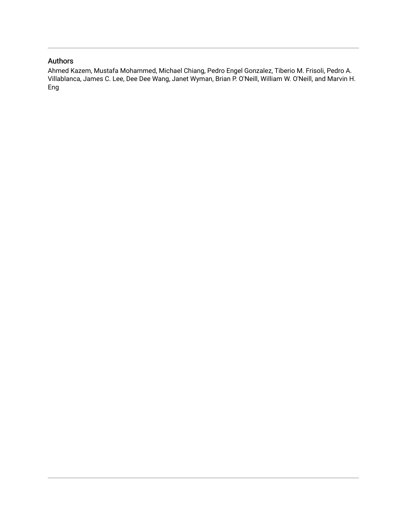## Authors

Ahmed Kazem, Mustafa Mohammed, Michael Chiang, Pedro Engel Gonzalez, Tiberio M. Frisoli, Pedro A. Villablanca, James C. Lee, Dee Dee Wang, Janet Wyman, Brian P. O'Neill, William W. O'Neill, and Marvin H. Eng